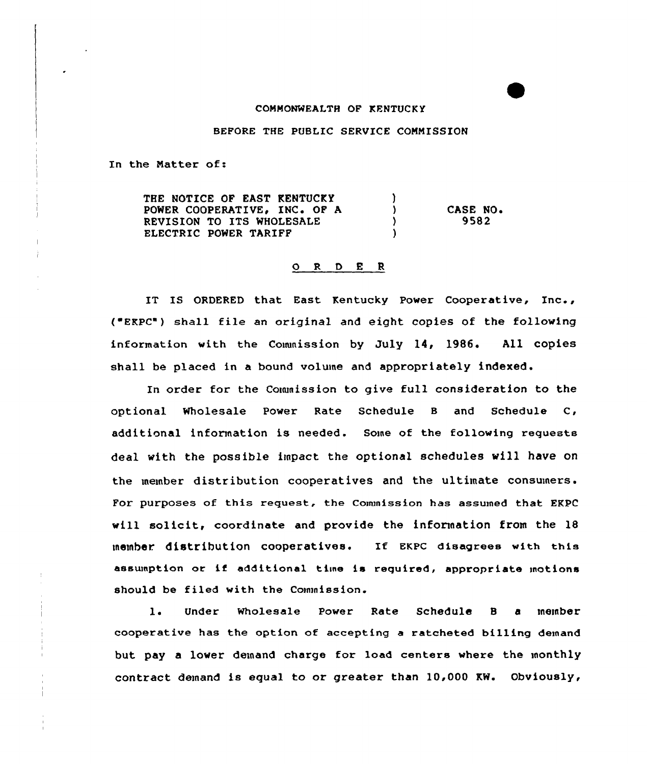## COMMONWEALTH OF KENTUCKY

## BEFORE THE PUBLIC SERVICE COMMISSION

In the Matter of:

THE NOTICE OF EAST KENTUCKY  $\mathcal{L}$ POWER COOPERATIVE, INC. OF A  $\mathbf{A}$ CASE NO. REVISION TO ITS WHOLESALE 9582  $\mathcal{L}$ ELECTRIC POWER TARIFF  $\lambda$ 

## 0 <sup>R</sup> <sup>D</sup> E <sup>R</sup>

IT IS ORDERED that East Kentucky Power Coopexative, Inc., ( EKPC") shall file an oxiginal and eight copies of the following information with the Commission by July 14, 1986. All copies shall be placed in a bound volume and appropriately indexed.

In order for the Commission to give full consideration to the optional Wholesale Power Rate Schedule B and Schedule C, additional information is needed. Some of the following requests deal with the possible impact the optional schedules vill have on the member distribution cooperatives and the ultimate consumers. For purposes of this request, the Commission has assumed that EKPC will solicit, coordinate and provide the information from the  $18$ )nember diatributiOn COOperatiVeS. If EKPC disagrees with this assumption or if additional time is required, appropriate motions should be filed with the Commission.

1. Under Wholesale Power Rate Schedule B a member cooperative has the option of accepting a ratcheted billing demand but pay a lower demand charge for load centers where the monthly contract demand is equal to or greater than 10,000 KW. Obviously,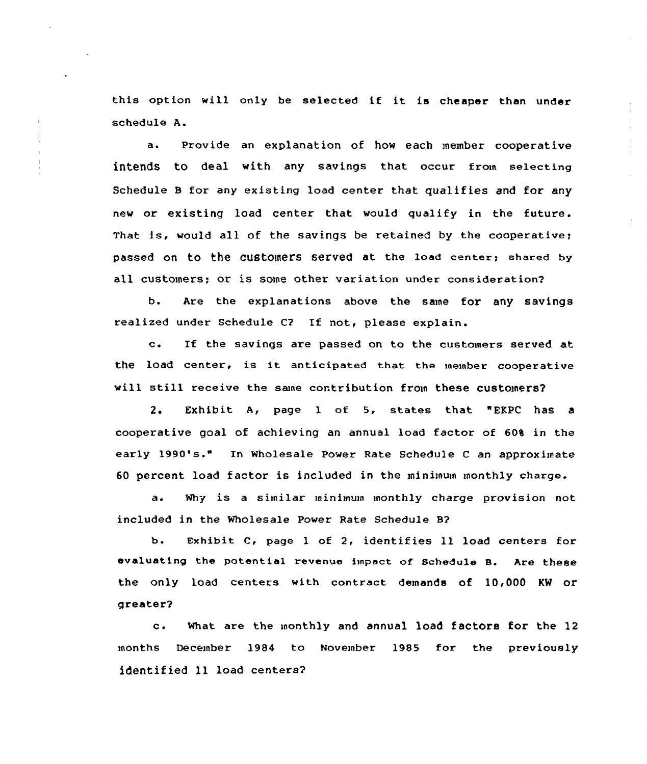this option vill anly be selected if it is cheaper than under schedule A.

a. Provide an explanation of how each member cooperative intends to deal with any savings that occur from selecting Schedule 8 for any existing load center that qualifies and for any new or existing load center that would qualify in the future. That is, would all of the savings be retained by the cooperative; passed on to the customers served at the load center; shared by all customers; or is some other variation under consideratian?

b. Are the explanations abave the same for any savings realized under Schedule C? If not, please explain.

c. If the savings are passed on to the customers served at the load center, is it anticipated that the member cooperative will still receive the sane contribution from these customers?

2, Exhibit A< page <sup>1</sup> of 5, states that "EKPC has a cooperative goal of achieving an annual load factor of 604 in the early 1990's." In Wholesale Power Rate Schedule <sup>C</sup> an appraximate 60 percent load factor is included in the ininimum monthly charge.

a. Why is a similar minimum monthly charge provision not included in the Wholesale Power Rate Schedule 8?

b. Exhibit C, page <sup>1</sup> of 2, identifies 11 load centers for evaluating the potential revenue impact of Schedule B. Are these the only load centers with contract demands of 10,000 KW or greater?

c. What are the monthly and annual load factors for the <sup>12</sup> months December 1984 to November 1985 for the previously identified ll load centers?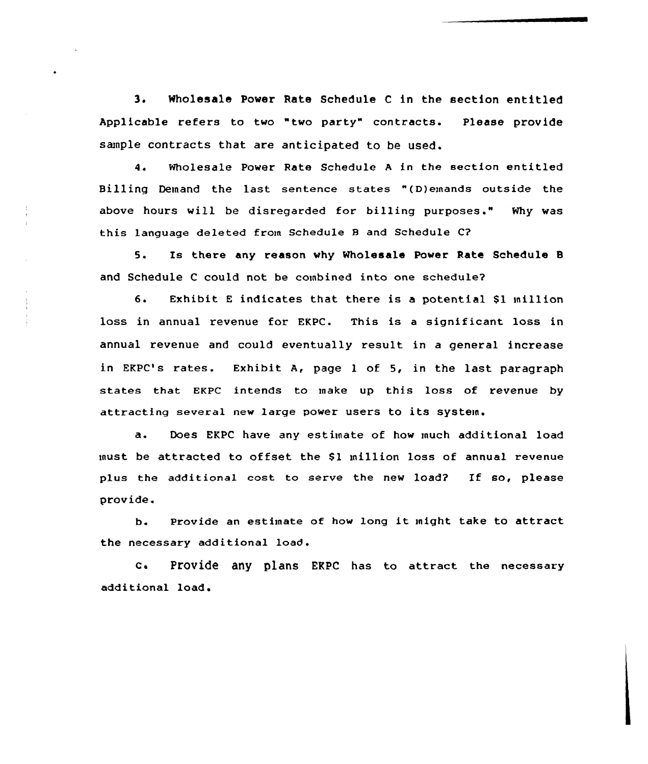3. Wholesale Power Rate Schedule <sup>C</sup> in the section entitled Applicable refers to two "two party" contracts. Please provide sample contracts that are anticipated to be used.

4. Wholesale Power Rate Schedule <sup>A</sup> in the section entitled Billing Demand the last sentence states "(D)emands outside the above hours will be disregarded for billing purposes." Why was this language deleted from Schedule 8 and Schedule C?

5. Is there any reason why Wholesale Power Rate Schedule 8 and Schedule <sup>C</sup> could not be combined into one schedule?

6. Exhibit E indicates that there is a potential \$1 million loss in annual revenue for EKPC. This is <sup>a</sup> significant loss in annual revenue and could eventually result in a general increase in EKPC's rates. Exhibit A, page <sup>1</sup> of 5, in the last paragraph states that EKPC intends to make up this loss of revenue by attracting several new large power users to its system.

a. Does EKPC have any estimate of how much additional load must be attracted to offset the \$1 million loss of annual revenue plus the additional cost to serve the new load? If so, please provide.

b. Provide an estimate of how long it might take to attract the necessary additional load.

C. Provide any plans EKPC has to attract the necessary additional load.